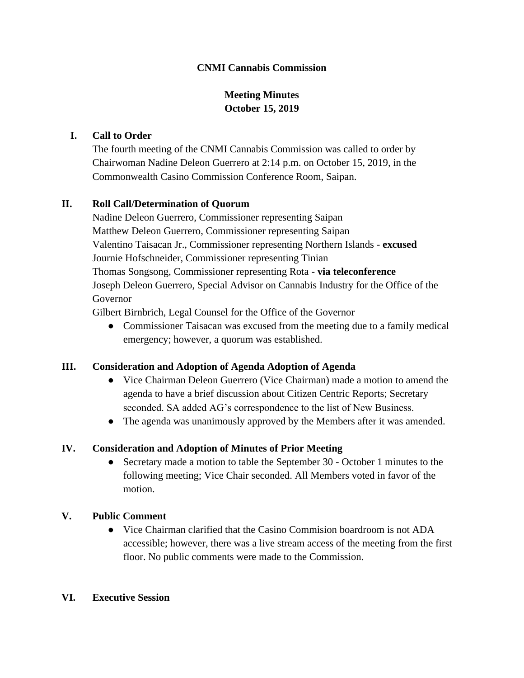### **CNMI Cannabis Commission**

# **Meeting Minutes October 15, 2019**

#### **I. Call to Order**

The fourth meeting of the CNMI Cannabis Commission was called to order by Chairwoman Nadine Deleon Guerrero at 2:14 p.m. on October 15, 2019, in the Commonwealth Casino Commission Conference Room, Saipan.

#### **II. Roll Call/Determination of Quorum**

Nadine Deleon Guerrero, Commissioner representing Saipan Matthew Deleon Guerrero, Commissioner representing Saipan Valentino Taisacan Jr., Commissioner representing Northern Islands - **excused** Journie Hofschneider, Commissioner representing Tinian Thomas Songsong, Commissioner representing Rota - **via teleconference** Joseph Deleon Guerrero, Special Advisor on Cannabis Industry for the Office of the Governor

Gilbert Birnbrich, Legal Counsel for the Office of the Governor

• Commissioner Taisacan was excused from the meeting due to a family medical emergency; however, a quorum was established.

### **III. Consideration and Adoption of Agenda Adoption of Agenda**

- Vice Chairman Deleon Guerrero (Vice Chairman) made a motion to amend the agenda to have a brief discussion about Citizen Centric Reports; Secretary seconded. SA added AG's correspondence to the list of New Business.
- The agenda was unanimously approved by the Members after it was amended.

### **IV. Consideration and Adoption of Minutes of Prior Meeting**

• Secretary made a motion to table the September 30 - October 1 minutes to the following meeting; Vice Chair seconded. All Members voted in favor of the motion.

#### **V. Public Comment**

● Vice Chairman clarified that the Casino Commision boardroom is not ADA accessible; however, there was a live stream access of the meeting from the first floor. No public comments were made to the Commission.

#### **VI. Executive Session**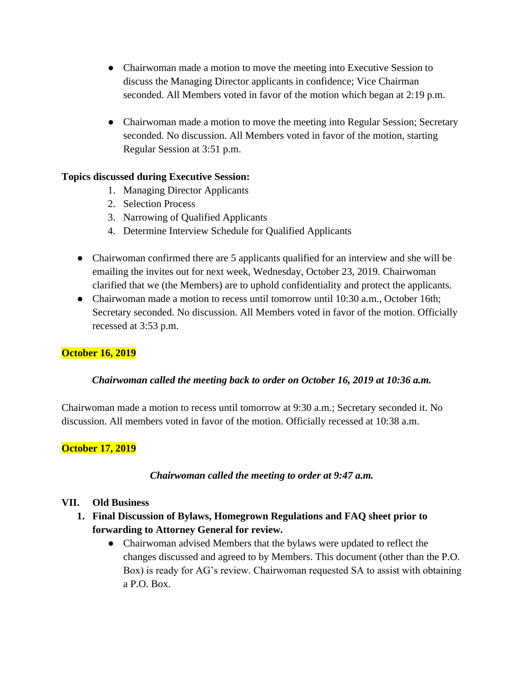- Chairwoman made a motion to move the meeting into Executive Session to discuss the Managing Director applicants in confidence; Vice Chairman seconded. All Members voted in favor of the motion which began at 2:19 p.m.
- Chairwoman made a motion to move the meeting into Regular Session; Secretary seconded. No discussion. All Members voted in favor of the motion, starting Regular Session at 3:51 p.m.

### **Topics discussed during Executive Session:**

- 1. Managing Director Applicants
- 2. Selection Process
- 3. Narrowing of Qualified Applicants
- 4. Determine Interview Schedule for Qualified Applicants
- Chairwoman confirmed there are 5 applicants qualified for an interview and she will be emailing the invites out for next week, Wednesday, October 23, 2019. Chairwoman clarified that we (the Members) are to uphold confidentiality and protect the applicants.
- Chairwoman made a motion to recess until tomorrow until 10:30 a.m., October 16th; Secretary seconded. No discussion. All Members voted in favor of the motion. Officially recessed at 3:53 p.m.

# **October 16, 2019**

### *Chairwoman called the meeting back to order on October 16, 2019 at 10:36 a.m.*

Chairwoman made a motion to recess until tomorrow at 9:30 a.m.; Secretary seconded it. No discussion. All members voted in favor of the motion. Officially recessed at 10:38 a.m.

# **October 17, 2019**

### *Chairwoman called the meeting to order at 9:47 a.m.*

### **VII. Old Business**

- **1. Final Discussion of Bylaws, Homegrown Regulations and FAQ sheet prior to forwarding to Attorney General for review.**
	- Chairwoman advised Members that the bylaws were updated to reflect the changes discussed and agreed to by Members. This document (other than the P.O. Box) is ready for AG's review. Chairwoman requested SA to assist with obtaining a P.O. Box.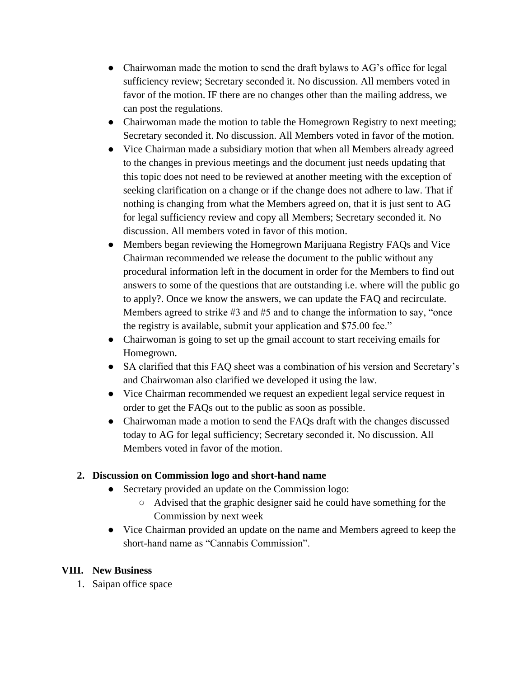- Chairwoman made the motion to send the draft bylaws to AG's office for legal sufficiency review; Secretary seconded it. No discussion. All members voted in favor of the motion. IF there are no changes other than the mailing address, we can post the regulations.
- Chairwoman made the motion to table the Homegrown Registry to next meeting; Secretary seconded it. No discussion. All Members voted in favor of the motion.
- Vice Chairman made a subsidiary motion that when all Members already agreed to the changes in previous meetings and the document just needs updating that this topic does not need to be reviewed at another meeting with the exception of seeking clarification on a change or if the change does not adhere to law. That if nothing is changing from what the Members agreed on, that it is just sent to AG for legal sufficiency review and copy all Members; Secretary seconded it. No discussion. All members voted in favor of this motion.
- Members began reviewing the Homegrown Marijuana Registry FAQs and Vice Chairman recommended we release the document to the public without any procedural information left in the document in order for the Members to find out answers to some of the questions that are outstanding i.e. where will the public go to apply?. Once we know the answers, we can update the FAQ and recirculate. Members agreed to strike #3 and #5 and to change the information to say, "once the registry is available, submit your application and \$75.00 fee."
- Chairwoman is going to set up the gmail account to start receiving emails for Homegrown.
- SA clarified that this FAQ sheet was a combination of his version and Secretary's and Chairwoman also clarified we developed it using the law.
- Vice Chairman recommended we request an expedient legal service request in order to get the FAQs out to the public as soon as possible.
- Chairwoman made a motion to send the FAQs draft with the changes discussed today to AG for legal sufficiency; Secretary seconded it. No discussion. All Members voted in favor of the motion.

# **2. Discussion on Commission logo and short-hand name**

- Secretary provided an update on the Commission logo:
	- Advised that the graphic designer said he could have something for the Commission by next week
- Vice Chairman provided an update on the name and Members agreed to keep the short-hand name as "Cannabis Commission".

### **VIII. New Business**

1. Saipan office space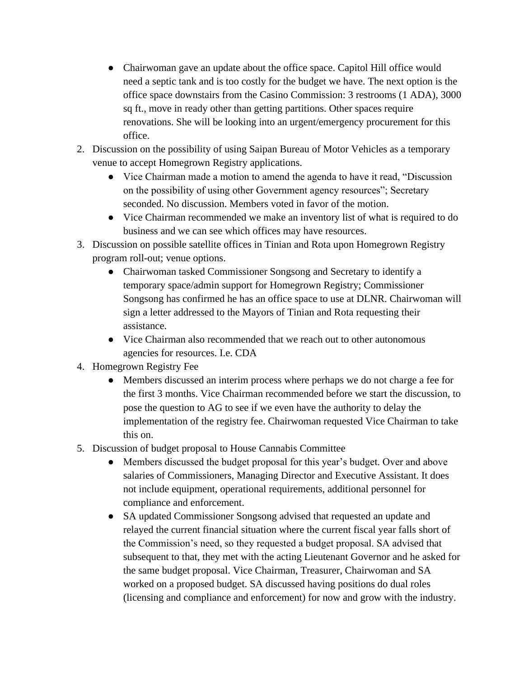- Chairwoman gave an update about the office space. Capitol Hill office would need a septic tank and is too costly for the budget we have. The next option is the office space downstairs from the Casino Commission: 3 restrooms (1 ADA), 3000 sq ft., move in ready other than getting partitions. Other spaces require renovations. She will be looking into an urgent/emergency procurement for this office.
- 2. Discussion on the possibility of using Saipan Bureau of Motor Vehicles as a temporary venue to accept Homegrown Registry applications.
	- Vice Chairman made a motion to amend the agenda to have it read, "Discussion" on the possibility of using other Government agency resources"; Secretary seconded. No discussion. Members voted in favor of the motion.
	- Vice Chairman recommended we make an inventory list of what is required to do business and we can see which offices may have resources.
- 3. Discussion on possible satellite offices in Tinian and Rota upon Homegrown Registry program roll-out; venue options.
	- Chairwoman tasked Commissioner Songsong and Secretary to identify a temporary space/admin support for Homegrown Registry; Commissioner Songsong has confirmed he has an office space to use at DLNR. Chairwoman will sign a letter addressed to the Mayors of Tinian and Rota requesting their assistance.
	- Vice Chairman also recommended that we reach out to other autonomous agencies for resources. I.e. CDA
- 4. Homegrown Registry Fee
	- Members discussed an interim process where perhaps we do not charge a fee for the first 3 months. Vice Chairman recommended before we start the discussion, to pose the question to AG to see if we even have the authority to delay the implementation of the registry fee. Chairwoman requested Vice Chairman to take this on.
- 5. Discussion of budget proposal to House Cannabis Committee
	- Members discussed the budget proposal for this year's budget. Over and above salaries of Commissioners, Managing Director and Executive Assistant. It does not include equipment, operational requirements, additional personnel for compliance and enforcement.
	- SA updated Commissioner Songsong advised that requested an update and relayed the current financial situation where the current fiscal year falls short of the Commission's need, so they requested a budget proposal. SA advised that subsequent to that, they met with the acting Lieutenant Governor and he asked for the same budget proposal. Vice Chairman, Treasurer, Chairwoman and SA worked on a proposed budget. SA discussed having positions do dual roles (licensing and compliance and enforcement) for now and grow with the industry.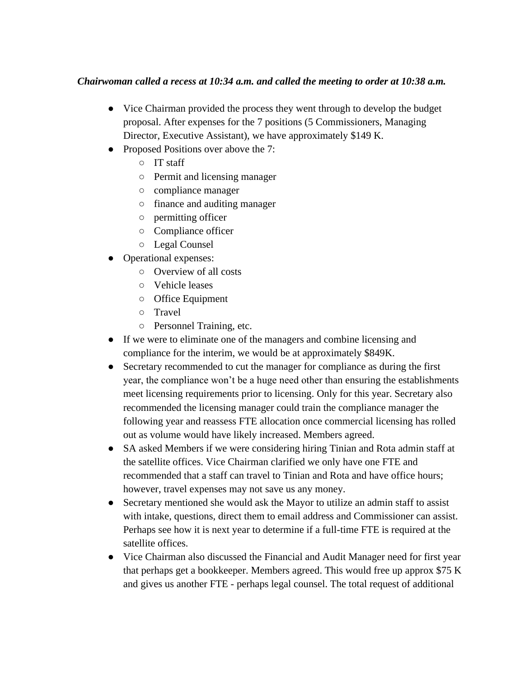### *Chairwoman called a recess at 10:34 a.m. and called the meeting to order at 10:38 a.m.*

- Vice Chairman provided the process they went through to develop the budget proposal. After expenses for the 7 positions (5 Commissioners, Managing Director, Executive Assistant), we have approximately \$149 K.
- Proposed Positions over above the 7:
	- IT staff
	- Permit and licensing manager
	- compliance manager
	- finance and auditing manager
	- permitting officer
	- Compliance officer
	- Legal Counsel
- Operational expenses:
	- Overview of all costs
	- Vehicle leases
	- Office Equipment
	- Travel
	- Personnel Training, etc.
- If we were to eliminate one of the managers and combine licensing and compliance for the interim, we would be at approximately \$849K.
- Secretary recommended to cut the manager for compliance as during the first year, the compliance won't be a huge need other than ensuring the establishments meet licensing requirements prior to licensing. Only for this year. Secretary also recommended the licensing manager could train the compliance manager the following year and reassess FTE allocation once commercial licensing has rolled out as volume would have likely increased. Members agreed.
- SA asked Members if we were considering hiring Tinian and Rota admin staff at the satellite offices. Vice Chairman clarified we only have one FTE and recommended that a staff can travel to Tinian and Rota and have office hours; however, travel expenses may not save us any money.
- Secretary mentioned she would ask the Mayor to utilize an admin staff to assist with intake, questions, direct them to email address and Commissioner can assist. Perhaps see how it is next year to determine if a full-time FTE is required at the satellite offices.
- Vice Chairman also discussed the Financial and Audit Manager need for first year that perhaps get a bookkeeper. Members agreed. This would free up approx \$75 K and gives us another FTE - perhaps legal counsel. The total request of additional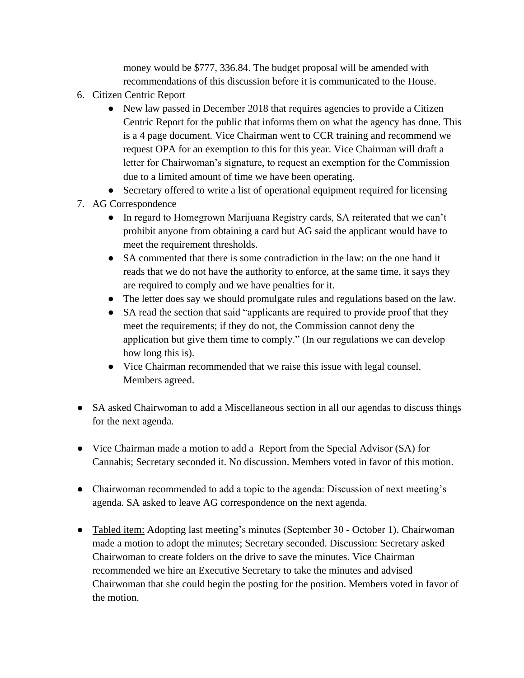money would be \$777, 336.84. The budget proposal will be amended with recommendations of this discussion before it is communicated to the House.

- 6. Citizen Centric Report
	- New law passed in December 2018 that requires agencies to provide a Citizen Centric Report for the public that informs them on what the agency has done. This is a 4 page document. Vice Chairman went to CCR training and recommend we request OPA for an exemption to this for this year. Vice Chairman will draft a letter for Chairwoman's signature, to request an exemption for the Commission due to a limited amount of time we have been operating.
	- Secretary offered to write a list of operational equipment required for licensing
- 7. AG Correspondence
	- In regard to Homegrown Marijuana Registry cards, SA reiterated that we can't prohibit anyone from obtaining a card but AG said the applicant would have to meet the requirement thresholds.
	- SA commented that there is some contradiction in the law: on the one hand it reads that we do not have the authority to enforce, at the same time, it says they are required to comply and we have penalties for it.
	- The letter does say we should promulgate rules and regulations based on the law.
	- SA read the section that said "applicants are required to provide proof that they meet the requirements; if they do not, the Commission cannot deny the application but give them time to comply." (In our regulations we can develop how long this is).
	- Vice Chairman recommended that we raise this issue with legal counsel. Members agreed.
- SA asked Chairwoman to add a Miscellaneous section in all our agendas to discuss things for the next agenda.
- Vice Chairman made a motion to add a Report from the Special Advisor (SA) for Cannabis; Secretary seconded it. No discussion. Members voted in favor of this motion.
- Chairwoman recommended to add a topic to the agenda: Discussion of next meeting's agenda. SA asked to leave AG correspondence on the next agenda.
- Tabled item: Adopting last meeting's minutes (September 30 October 1). Chairwoman made a motion to adopt the minutes; Secretary seconded. Discussion: Secretary asked Chairwoman to create folders on the drive to save the minutes. Vice Chairman recommended we hire an Executive Secretary to take the minutes and advised Chairwoman that she could begin the posting for the position. Members voted in favor of the motion.